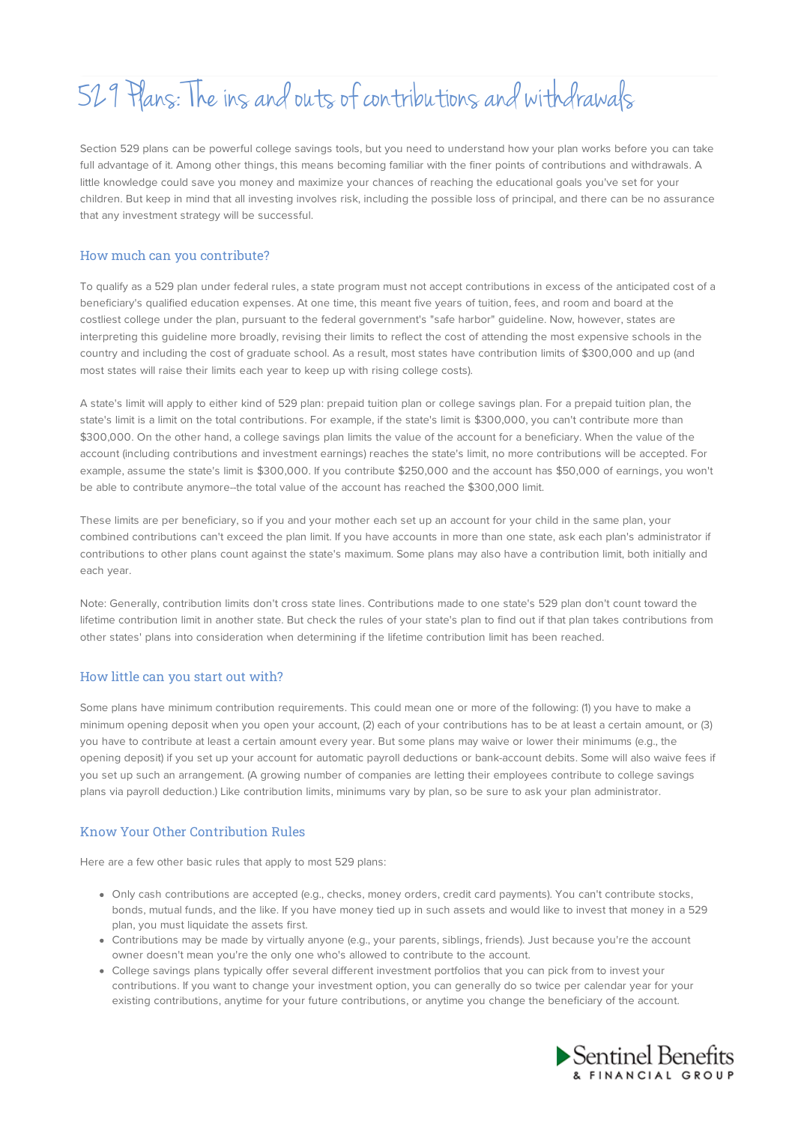# 529 Plans: The ins and outs of contributions and withdrawals

Section 529 plans can be powerful college savings tools, but you need to understand how your plan works before you can take full advantage of it. Among other things, this means becoming familiar with the finer points of contributions and withdrawals. A little knowledge could save you money and maximize your chances of reaching the educational goals you've set for your children. But keep in mind that all investing involves risk, including the possible loss of principal, and there can be no assurance that any investment strategy will be successful.

# How much can you contribute?

To qualify as a 529 plan under federal rules, a state program must not accept contributions in excess of the anticipated cost of a beneficiary's qualified education expenses. At one time, this meant five years of tuition, fees, and room and board at the costliest college under the plan, pursuant to the federal government's "safe harbor" guideline. Now, however, states are interpreting this guideline more broadly, revising their limits to reflect the cost of attending the most expensive schools in the country and including the cost of graduate school. As a result, most states have contribution limits of \$300,000 and up (and most states will raise their limits each year to keep up with rising college costs).

A state's limit will apply to either kind of 529 plan: prepaid tuition plan or college savings plan. For a prepaid tuition plan, the state's limit is a limit on the total contributions. For example, if the state's limit is \$300,000, you can't contribute more than \$300,000. On the other hand, a college savings plan limits the value of the account for a beneficiary. When the value of the account (including contributions and investment earnings) reaches the state's limit, no more contributions will be accepted. For example, assume the state's limit is \$300,000. If you contribute \$250,000 and the account has \$50,000 of earnings, you won't be able to contribute anymore--the total value of the account has reached the \$300,000 limit.

These limits are per beneficiary, so if you and your mother each set up an account for your child in the same plan, your combined contributions can't exceed the plan limit. If you have accounts in more than one state, ask each plan's administrator if contributions to other plans count against the state's maximum. Some plans may also have a contribution limit, both initially and each year.

Note: Generally, contribution limits don't cross state lines. Contributions made to one state's 529 plan don't count toward the lifetime contribution limit in another state. But check the rules of your state's plan to find out if that plan takes contributions from other states' plans into consideration when determining if the lifetime contribution limit has been reached.

## How little can you start out with?

Some plans have minimum contribution requirements. This could mean one or more of the following: (1) you have to make a minimum opening deposit when you open your account, (2) each of your contributions has to be at least a certain amount, or (3) you have to contribute at least a certain amount every year. But some plans may waive or lower their minimums (e.g., the opening deposit) if you set up your account for automatic payroll deductions or bank-account debits. Some will also waive fees if you set up such an arrangement. (A growing number of companies are letting their employees contribute to college savings plans via payroll deduction.) Like contribution limits, minimums vary by plan, so be sure to ask your plan administrator.

# Know Your Other Contribution Rules

Here are a few other basic rules that apply to most 529 plans:

- Only cash contributions are accepted (e.g., checks, money orders, credit card payments). You can't contribute stocks, bonds, mutual funds, and the like. If you have money tied up in such assets and would like to invest that money in a 529 plan, you must liquidate the assets first.
- Contributions may be made by virtually anyone (e.g., your parents, siblings, friends). Just because you're the account owner doesn't mean you're the only one who's allowed to contribute to the account.
- College savings plans typically offer several different investment portfolios that you can pick from to invest your contributions. If you want to change your investment option, you can generally do so twice per calendar year for your existing contributions, anytime for your future contributions, or anytime you change the beneficiary of the account.

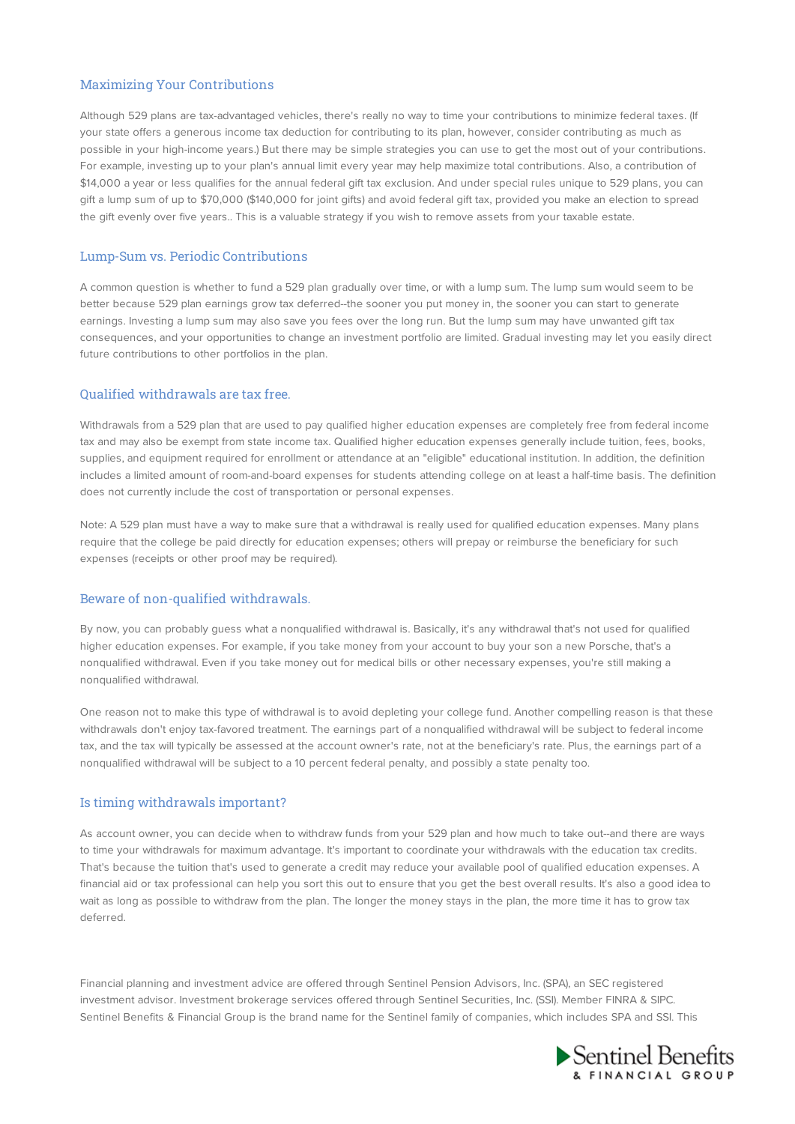# Maximizing Your Contributions

Although 529 plans are tax-advantaged vehicles, there's really no way to time your contributions to minimize federal taxes. (If your state offers a generous income tax deduction for contributing to its plan, however, consider contributing as much as possible in your high-income years.) But there may be simple strategies you can use to get the most out of your contributions. For example, investing up to your plan's annual limit every year may help maximize total contributions. Also, a contribution of \$14,000 a year or less qualifies for the annual federal gift tax exclusion. And under special rules unique to 529 plans, you can gift a lump sum of up to \$70,000 (\$140,000 for joint gifts) and avoid federal gift tax, provided you make an election to spread the gift evenly over five years.. This is a valuable strategy if you wish to remove assets from your taxable estate.

# Lump-Sum vs. Periodic Contributions

A common question is whether to fund a 529 plan gradually over time, or with a lump sum. The lump sum would seem to be better because 529 plan earnings grow tax deferred--the sooner you put money in, the sooner you can start to generate earnings. Investing a lump sum may also save you fees over the long run. But the lump sum may have unwanted gift tax consequences, and your opportunities to change an investment portfolio are limited. Gradual investing may let you easily direct future contributions to other portfolios in the plan.

## Qualified withdrawals are tax free.

Withdrawals from a 529 plan that are used to pay qualified higher education expenses are completely free from federal income tax and may also be exempt from state income tax. Qualified higher education expenses generally include tuition, fees, books, supplies, and equipment required for enrollment or attendance at an "eligible" educational institution. In addition, the definition includes a limited amount of room-and-board expenses for students attending college on at least a half-time basis. The definition does not currently include the cost of transportation or personal expenses.

Note: A 529 plan must have a way to make sure that a withdrawal is really used for qualified education expenses. Many plans require that the college be paid directly for education expenses; others will prepay or reimburse the beneficiary for such expenses (receipts or other proof may be required).

#### Beware of non-qualified withdrawals.

By now, you can probably guess what a nonqualified withdrawal is. Basically, it's any withdrawal that's not used for qualified higher education expenses. For example, if you take money from your account to buy your son a new Porsche, that's a nonqualified withdrawal. Even if you take money out for medical bills or other necessary expenses, you're still making a nonqualified withdrawal.

One reason not to make this type of withdrawal is to avoid depleting your college fund. Another compelling reason is that these withdrawals don't enjoy tax-favored treatment. The earnings part of a nonqualified withdrawal will be subject to federal income tax, and the tax will typically be assessed at the account owner's rate, not at the beneficiary's rate. Plus, the earnings part of a nonqualified withdrawal will be subject to a 10 percent federal penalty, and possibly a state penalty too.

## Is timing withdrawals important?

As account owner, you can decide when to withdraw funds from your 529 plan and how much to take out--and there are ways to time your withdrawals for maximum advantage. It's important to coordinate your withdrawals with the education tax credits. That's because the tuition that's used to generate a credit may reduce your available pool of qualified education expenses. A financial aid or tax professional can help you sort this out to ensure that you get the best overall results. It's also a good idea to wait as long as possible to withdraw from the plan. The longer the money stays in the plan, the more time it has to grow tax deferred.

Financial planning and investment advice are offered through Sentinel Pension Advisors, Inc. (SPA), an SEC registered investment advisor. Investment brokerage services offered through Sentinel Securities, Inc. (SSI). Member FINRA & SIPC. Sentinel Benefits & Financial Group is the brand name for the Sentinel family of companies, which includes SPA and SSI. This